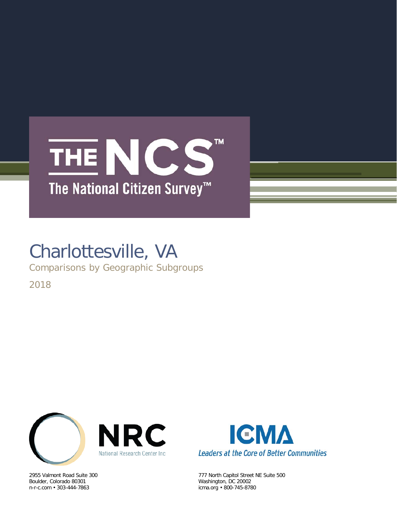## THE NCS  $\overline{M}$ The National Citizen Survey<sup>™</sup>

# Charlottesville, VA

Comparisons by Geographic Subgroups

2018



Boulder, Colorado 80301 Washington, DC 20002 n-r-c.com • 303-444-7863 icma.org • 800-745-8780



2955 Valmont Road Suite 300 777 North Capitol Street NE Suite 500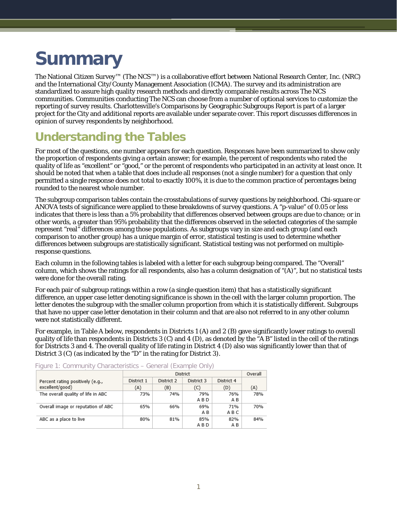# **Summary**

The National Citizen Survey™ (The NCS™) is a collaborative effort between National Research Center, Inc. (NRC) and the International City/County Management Association (ICMA). The survey and its administration are standardized to assure high quality research methods and directly comparable results across The NCS communities. Communities conducting The NCS can choose from a number of optional services to customize the reporting of survey results. Charlottesville's Comparisons by Geographic Subgroups Report is part of a larger project for the City and additional reports are available under separate cover. This report discusses differences in opinion of survey respondents by neighborhood.

### **Understanding the Tables**

For most of the questions, one number appears for each question. Responses have been summarized to show only the proportion of respondents giving a certain answer; for example, the percent of respondents who rated the quality of life as "excellent" or "good," or the percent of respondents who participated in an activity at least once. It should be noted that when a table that does include all responses (not a single number) for a question that only permitted a single response does not total to exactly 100%, it is due to the common practice of percentages being rounded to the nearest whole number.

The subgroup comparison tables contain the crosstabulations of survey questions by neighborhood. Chi-square or ANOVA tests of significance were applied to these breakdowns of survey questions. A "p-value" of 0.05 or less indicates that there is less than a 5% probability that differences observed between groups are due to chance; or in other words, a greater than 95% probability that the differences observed in the selected categories of the sample represent "real" differences among those populations. As subgroups vary in size and each group (and each comparison to another group) has a unique margin of error, statistical testing is used to determine whether differences between subgroups are statistically significant. Statistical testing was not performed on multipleresponse questions.

Each column in the following tables is labeled with a letter for each subgroup being compared. The "Overall" column, which shows the ratings for all respondents, also has a column designation of "(A)", but no statistical tests were done for the overall rating.

For each pair of subgroup ratings within a row (a single question item) that has a statistically significant difference, an upper case letter denoting significance is shown in the cell with the larger column proportion. The letter denotes the subgroup with the smaller column proportion from which it is statistically different. Subgroups that have no upper case letter denotation in their column and that are also not referred to in any other column were not statistically different.

For example, in Table A below, respondents in Districts 1 (A) and 2 (B) gave significantly lower ratings to overall quality of life than respondents in Districts 3 (C) and 4 (D), as denoted by the "A B" listed in the cell of the ratings for Districts 3 and 4. The overall quality of life rating in District 4 (D) also was significantly lower than that of District 3 (C) (as indicated by the "D" in the rating for District 3).

|                                    |            | District   |            | Overall    |     |
|------------------------------------|------------|------------|------------|------------|-----|
| Percent rating positively (e.g.,   | District 1 | District 2 | District 3 | District 4 |     |
| excellent/good)                    | (A)        | (B)        | (C)        | (D)        | (A) |
| The overall quality of life in ABC | 73%        | 74%        | 79%<br>ABD | 76%<br>A B | 78% |
| Overall image or reputation of ABC | 65%        | 66%        | 69%        | 71%        | 70% |
|                                    |            |            | ΑB         | ABC        |     |
| ABC as a place to live             | 80%        | 81%        | 85%        | 82%        | 84% |
|                                    |            |            | ABD        | A B        |     |

Figure 1: Community Characteristics – General (Example Only)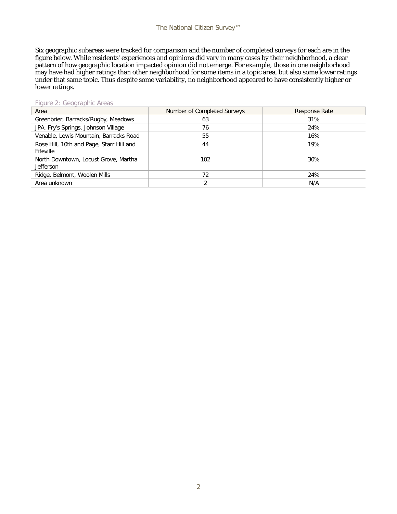Six geographic subareas were tracked for comparison and the number of completed surveys for each are in the figure below. While residents' experiences and opinions did vary in many cases by their neighborhood, a clear pattern of how geographic location impacted opinion did not emerge. For example, those in one neighborhood may have had higher ratings than other neighborhood for some items in a topic area, but also some lower ratings under that same topic. Thus despite some variability, no neighborhood appeared to have consistently higher or lower ratings.

| $I$ qui $\sigma$ $\angle$ . Occupia qui illumination de la casa |                             |               |
|-----------------------------------------------------------------|-----------------------------|---------------|
| Area                                                            | Number of Completed Surveys | Response Rate |
| Greenbrier, Barracks/Rugby, Meadows                             | 63                          | 31%           |
| JPA, Fry's Springs, Johnson Village                             | 76                          | 24%           |
| Venable, Lewis Mountain, Barracks Road                          | 55                          | 16%           |
| Rose Hill, 10th and Page, Starr Hill and<br>Fifeville           | 44                          | 19%           |
| North Downtown, Locust Grove, Martha<br><b>Jefferson</b>        | 102                         | 30%           |
| Ridge, Belmont, Woolen Mills                                    | 72                          | 24%           |
| Area unknown                                                    |                             | N/A           |

#### Figure 2: Geographic Areas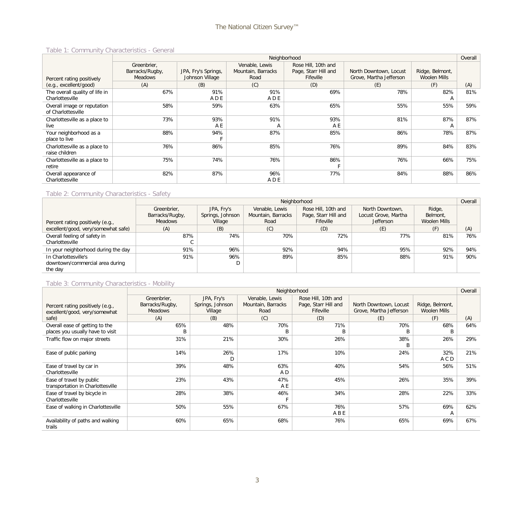#### Table 1: Community Characteristics - General

|                                |                 |                     |                    | Neighborhood         |                         |                     | Overall |
|--------------------------------|-----------------|---------------------|--------------------|----------------------|-------------------------|---------------------|---------|
|                                | Greenbrier.     |                     | Venable, Lewis     | Rose Hill, 10th and  |                         |                     |         |
|                                | Barracks/Rugby, | JPA, Fry's Springs, | Mountain, Barracks | Page, Starr Hill and | North Downtown, Locust  | Ridge, Belmont,     |         |
| Percent rating positively      | <b>Meadows</b>  | Johnson Village     | Road               | Fifeville            | Grove, Martha Jefferson | <b>Woolen Mills</b> |         |
| (e.g., excellent/good)         | (A)             | (B)                 | (C)                | (D)                  | (E)                     | (F)                 | (A)     |
| The overall quality of life in | 67%             | 91%                 | 91%                | 69%                  | 78%                     | 82%                 | 81%     |
| Charlottesville                |                 | ADE                 | A D E              |                      |                         | A                   |         |
| Overall image or reputation    | 58%             | 59%                 | 63%                | 65%                  | 55%                     | 55%                 | 59%     |
| of Charlottesville             |                 |                     |                    |                      |                         |                     |         |
| Charlottesville as a place to  | 73%             | 93%                 | 91%                | 93%                  | 81%                     | 87%                 | 87%     |
| live                           |                 | A E                 | A                  | A E                  |                         | $\mathsf{A}$        |         |
| Your neighborhood as a         | 88%             | 94%                 | 87%                | 85%                  | 86%                     | 78%                 | 87%     |
| place to live                  |                 |                     |                    |                      |                         |                     |         |
| Charlottesville as a place to  | 76%             | 86%                 | 85%                | 76%                  | 89%                     | 84%                 | 83%     |
| raise children                 |                 |                     |                    |                      |                         |                     |         |
| Charlottesville as a place to  | 75%             | 74%                 | 76%                | 86%                  | 76%                     | 66%                 | 75%     |
| retire                         |                 |                     |                    |                      |                         |                     |         |
| Overall appearance of          | 82%             | 87%                 | 96%                | 77%                  | 84%                     | 88%                 | 86%     |
| Charlottesville                |                 |                     | A D E              |                      |                         |                     |         |

#### Table 2: Community Characteristics - Safety

|                                     |                 |                  | Neighborhood       |                      |                      |              | Overall |
|-------------------------------------|-----------------|------------------|--------------------|----------------------|----------------------|--------------|---------|
|                                     | Greenbrier,     | JPA, Fry's       | Venable, Lewis     | Rose Hill, 10th and  | North Downtown,      | Ridge,       |         |
|                                     | Barracks/Rugby, | Springs, Johnson | Mountain, Barracks | Page, Starr Hill and | Locust Grove, Martha | Belmont,     |         |
| Percent rating positively (e.g.,    | <b>Meadows</b>  | Village          | Road               | Fifeville            | <b>Jefferson</b>     | Woolen Mills |         |
| excellent/good, very/somewhat safe) | (A)             | (B)              | (C)                | (D)                  | (E)                  | (F)          | (A)     |
| Overall feeling of safety in        | 87%             | 74%              | 70%                | 72%                  | 77%                  | 81%          | 76%     |
| Charlottesville                     |                 |                  |                    |                      |                      |              |         |
| In your neighborhood during the day | 91%             | 96%              | 92%                | 94%                  | 95%                  | 92%          | 94%     |
| In Charlottesville's                | 91%             | 96%              | 89%                | 85%                  | 88%                  | 91%          | 90%     |
| downtown/commercial area during     |                 |                  |                    |                      |                      |              |         |
| the day                             |                 |                  |                    |                      |                      |              |         |

### Table 3: Community Characteristics - Mobility

|                                                                    |                                                  |                                           |                                              | Neighborhood                                             |                                                   |                                        | Overall |
|--------------------------------------------------------------------|--------------------------------------------------|-------------------------------------------|----------------------------------------------|----------------------------------------------------------|---------------------------------------------------|----------------------------------------|---------|
| Percent rating positively (e.g.,<br>excellent/good, very/somewhat  | Greenbrier,<br>Barracks/Rugby,<br><b>Meadows</b> | JPA, Fry's<br>Springs, Johnson<br>Village | Venable, Lewis<br>Mountain, Barracks<br>Road | Rose Hill, 10th and<br>Page, Starr Hill and<br>Fifeville | North Downtown, Locust<br>Grove, Martha Jefferson | Ridge, Belmont,<br><b>Woolen Mills</b> |         |
| safe)                                                              | (A)                                              | (B)                                       | (C)                                          | (D)                                                      | (E)                                               | (F)                                    | (A)     |
| Overall ease of getting to the<br>places you usually have to visit | 65%<br>B                                         | 48%                                       | 70%<br>B                                     | 71%                                                      | 70%<br>B                                          | 68%                                    | 64%     |
| Traffic flow on major streets                                      | 31%                                              | 21%                                       | 30%                                          | 26%                                                      | 38%<br>B                                          | 26%                                    | 29%     |
| Ease of public parking                                             | 14%                                              | 26%<br>D                                  | 17%                                          | 10%                                                      | 24%                                               | 32%<br>A C D                           | 21%     |
| Ease of travel by car in<br>Charlottesville                        | 39%                                              | 48%                                       | 63%<br>A D                                   | 40%                                                      | 54%                                               | 56%                                    | 51%     |
| Ease of travel by public<br>transportation in Charlottesville      | 23%                                              | 43%                                       | 47%<br>A E                                   | 45%                                                      | 26%                                               | 35%                                    | 39%     |
| Ease of travel by bicycle in<br>Charlottesville                    | 28%                                              | 38%                                       | 46%                                          | 34%                                                      | 28%                                               | 22%                                    | 33%     |
| Ease of walking in Charlottesville                                 | 50%                                              | 55%                                       | 67%                                          | 76%<br>A B E                                             | 57%                                               | 69%<br>A                               | 62%     |
| Availability of paths and walking<br>trails                        | 60%                                              | 65%                                       | 68%                                          | 76%                                                      | 65%                                               | 69%                                    | 67%     |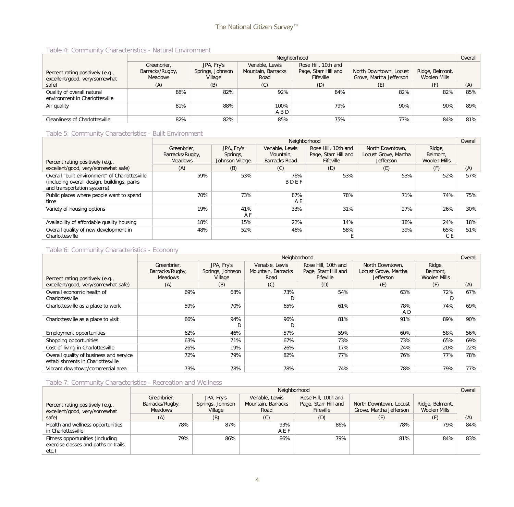#### Table 4: Community Characteristics - Natural Environment

|                                                              |                 |                  | Neighborhood       |                      |                         |                 | Overall |
|--------------------------------------------------------------|-----------------|------------------|--------------------|----------------------|-------------------------|-----------------|---------|
|                                                              | Greenbrier,     | JPA, Fry's       | Venable, Lewis     | Rose Hill, 10th and  |                         |                 |         |
| Percent rating positively (e.g.,                             | Barracks/Rugby, | Springs, Johnson | Mountain, Barracks | Page, Starr Hill and | North Downtown, Locust  | Ridge, Belmont, |         |
| excellent/good, very/somewhat                                | Meadows         | Village          | Road               | Fifeville            | Grove, Martha Jefferson | Woolen Mills    |         |
| safe)                                                        | (A)             | (B)              | (C)                | (D)                  | (E)                     |                 | (A)     |
| Quality of overall natural<br>environment in Charlottesville | 88%             | 82%              | 92%                | 84%                  | 82%                     | 82%             | 85%     |
| Air quality                                                  | 81%             | 88%              | 100%               | 79%                  | 90%                     | 90%             | 89%     |
|                                                              |                 |                  | A B D              |                      |                         |                 |         |
| Cleanliness of Charlottesville                               | 82%             | 82%              | 85%                | 75%                  | 77%                     | 84%             | 81%     |

#### Table 5: Community Characteristics - Built Environment

|                                                                                                                               |                                                  |                                           | Neighborhood                                 |                                                          |                                                             |                                    | Overall |
|-------------------------------------------------------------------------------------------------------------------------------|--------------------------------------------------|-------------------------------------------|----------------------------------------------|----------------------------------------------------------|-------------------------------------------------------------|------------------------------------|---------|
| Percent rating positively (e.g.,                                                                                              | Greenbrier.<br>Barracks/Rugby,<br><b>Meadows</b> | JPA, Fry's<br>Springs,<br>Johnson Village | Venable, Lewis<br>Mountain,<br>Barracks Road | Rose Hill, 10th and<br>Page, Starr Hill and<br>Fifeville | North Downtown.<br>Locust Grove, Martha<br><b>Jefferson</b> | Ridge,<br>Belmont,<br>Woolen Mills |         |
| excellent/good, very/somewhat safe)                                                                                           | (A)                                              | (B)                                       | (C)                                          | (D)                                                      | (E)                                                         | (F)                                | (A)     |
| Overall "built environment" of Charlottesville<br>(including overall design, buildings, parks)<br>and transportation systems) | 59%                                              | 53%                                       | 76%<br>BDEF                                  | 53%                                                      | 53%                                                         | 52%                                | 57%     |
| Public places where people want to spend<br>time                                                                              | 70%                                              | 73%                                       | 87%<br>A E                                   | 78%                                                      | 71%                                                         | 74%                                | 75%     |
| Variety of housing options                                                                                                    | 19%                                              | 41%<br>A F                                | 33%                                          | 31%                                                      | 27%                                                         | 26%                                | 30%     |
| Availability of affordable quality housing                                                                                    | 18%                                              | 15%                                       | 22%                                          | 14%                                                      | 18%                                                         | 24%                                | 18%     |
| Overall quality of new development in<br>Charlottesville                                                                      | 48%                                              | 52%                                       | 46%                                          | 58%                                                      | 39%                                                         | 65%<br>C E                         | 51%     |

#### Table 6: Community Characteristics - Economy

|                                                                              |                                                  |                                           | Neighborhood                                 |                                                          |                                                             |                                           | Overall |
|------------------------------------------------------------------------------|--------------------------------------------------|-------------------------------------------|----------------------------------------------|----------------------------------------------------------|-------------------------------------------------------------|-------------------------------------------|---------|
| Percent rating positively (e.g.,                                             | Greenbrier,<br>Barracks/Rugby,<br><b>Meadows</b> | JPA, Fry's<br>Springs, Johnson<br>Village | Venable, Lewis<br>Mountain, Barracks<br>Road | Rose Hill, 10th and<br>Page, Starr Hill and<br>Fifeville | North Downtown,<br>Locust Grove, Martha<br><b>Jefferson</b> | Ridge,<br>Belmont,<br><b>Woolen Mills</b> |         |
| excellent/good, very/somewhat safe)                                          | (A)                                              | (B)                                       | (C)                                          | (D)                                                      | (E)                                                         | (F)                                       | (A)     |
| Overall economic health of<br>Charlottesville                                | 69%                                              | 68%                                       | 73%<br>D                                     | 54%                                                      | 63%                                                         | 72%                                       | 67%     |
| Charlottesville as a place to work                                           | 59%                                              | 70%                                       | 65%                                          | 61%                                                      | 78%<br>A D                                                  | 74%                                       | 69%     |
| Charlottesville as a place to visit                                          | 86%                                              | 94%                                       | 96%<br>D                                     | 81%                                                      | 91%                                                         | 89%                                       | 90%     |
| Employment opportunities                                                     | 62%                                              | 46%                                       | 57%                                          | 59%                                                      | 60%                                                         | 58%                                       | 56%     |
| Shopping opportunities                                                       | 63%                                              | 71%                                       | 67%                                          | 73%                                                      | 73%                                                         | 65%                                       | 69%     |
| Cost of living in Charlottesville                                            | 26%                                              | 19%                                       | 26%                                          | 17%                                                      | 24%                                                         | 20%                                       | 22%     |
| Overall quality of business and service<br>establishments in Charlottesville | 72%                                              | 79%                                       | 82%                                          | 77%                                                      | 76%                                                         | 77%                                       | 78%     |
| Vibrant downtown/commercial area                                             | 73%                                              | 78%                                       | 78%                                          | 74%                                                      | 78%                                                         | 79%                                       | 77%     |

#### Table 7: Community Characteristics - Recreation and Wellness

|                                                                                    |                                           |                                           | Neighborhood                                 |                                                          |                                                   |                                 | Overall |
|------------------------------------------------------------------------------------|-------------------------------------------|-------------------------------------------|----------------------------------------------|----------------------------------------------------------|---------------------------------------------------|---------------------------------|---------|
| Percent rating positively (e.g.,<br>excellent/good, very/somewhat                  | Greenbrier.<br>Barracks/Rugby,<br>Meadows | JPA, Fry's<br>Springs, Johnson<br>Village | Venable, Lewis<br>Mountain, Barracks<br>Road | Rose Hill, 10th and<br>Page, Starr Hill and<br>Fifeville | North Downtown, Locust<br>Grove, Martha Jefferson | Ridge, Belmont,<br>Woolen Mills |         |
| safe)                                                                              | (A)                                       | (B)                                       | (C)                                          | (D)                                                      | (E)                                               | (F)                             | (A)     |
| Health and wellness opportunities<br>in Charlottesville                            | 78%                                       | 87%                                       | 93%<br>AEF                                   | 86%                                                      | 78%                                               | 79%                             | 84%     |
| Fitness opportunities (including<br>exercise classes and paths or trails,<br>etc.) | 79%                                       | 86%                                       | 86%                                          | 79%                                                      | 81%                                               | 84%                             | 83%     |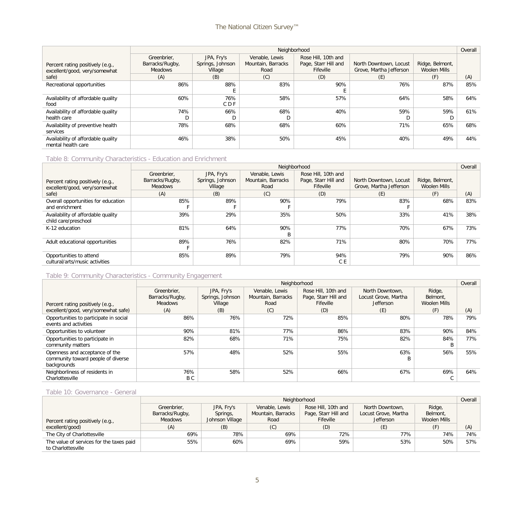|                                                                   |                                                  |                                           | Neighborhood                                 |                                                          |                                                   |                                 | Overall |
|-------------------------------------------------------------------|--------------------------------------------------|-------------------------------------------|----------------------------------------------|----------------------------------------------------------|---------------------------------------------------|---------------------------------|---------|
| Percent rating positively (e.g.,<br>excellent/good, very/somewhat | Greenbrier,<br>Barracks/Rugby,<br><b>Meadows</b> | JPA, Fry's<br>Springs, Johnson<br>Village | Venable, Lewis<br>Mountain, Barracks<br>Road | Rose Hill, 10th and<br>Page, Starr Hill and<br>Fifeville | North Downtown, Locust<br>Grove, Martha Jefferson | Ridge, Belmont,<br>Woolen Mills |         |
| safe)                                                             | (A)                                              | (B)                                       | (C)                                          | (D)                                                      | (E)                                               | (F)                             | (A)     |
| Recreational opportunities                                        | 86%                                              | 88%                                       | 83%                                          | 90%                                                      | 76%                                               | 87%                             | 85%     |
| Availability of affordable quality<br>food                        | 60%                                              | 76%<br>C D F                              | 58%                                          | 57%                                                      | 64%                                               | 58%                             | 64%     |
| Availability of affordable quality<br>health care                 | 74%                                              | 66%                                       | 68%                                          | 40%                                                      | 59%                                               | 59%                             | 61%     |
| Availability of preventive health<br>services                     | 78%                                              | 68%                                       | 68%                                          | 60%                                                      | 71%                                               | 65%                             | 68%     |
| Availability of affordable quality<br>mental health care          | 46%                                              | 38%                                       | 50%                                          | 45%                                                      | 40%                                               | 49%                             | 44%     |

#### Table 8: Community Characteristics - Education and Enrichment

|                                                            |                 |                  | Neighborhood       |                      |                         |                 | Overall |
|------------------------------------------------------------|-----------------|------------------|--------------------|----------------------|-------------------------|-----------------|---------|
|                                                            | Greenbrier,     | JPA, Fry's       | Venable, Lewis     | Rose Hill, 10th and  |                         |                 |         |
| Percent rating positively (e.g.,                           | Barracks/Rugby, | Springs, Johnson | Mountain, Barracks | Page, Starr Hill and | North Downtown, Locust  | Ridge, Belmont, |         |
| excellent/good, very/somewhat                              | <b>Meadows</b>  | Village          | Road               | Fifeville            | Grove, Martha Jefferson | Woolen Mills    |         |
| safe)                                                      | (A)             | (B)              | (C)                | (D)                  | (E)                     | (F)             | (A)     |
| Overall opportunities for education                        | 85%             | 89%              | 90%                | 79%                  | 83%                     | 68%             | 83%     |
| and enrichment                                             |                 |                  |                    |                      |                         |                 |         |
| Availability of affordable quality<br>child care/preschool | 39%             | 29%              | 35%                | 50%                  | 33%                     | 41%             | 38%     |
| K-12 education                                             | 81%             | 64%              | 90%                | 77%                  | 70%                     | 67%             | 73%     |
|                                                            |                 |                  | B                  |                      |                         |                 |         |
| Adult educational opportunities                            | 89%             | 76%              | 82%                | 71%                  | 80%                     | 70%             | 77%     |
|                                                            |                 |                  |                    |                      |                         |                 |         |
| Opportunities to attend<br>cultural/arts/music activities  | 85%             | 89%              | 79%                | 94%<br>C E           | 79%                     | 90%             | 86%     |

#### Table 9: Community Characteristics - Community Engagement

|                                                                                     |                                |                                | Neighborhood                         |                                             |                                         |                                    | Overall |
|-------------------------------------------------------------------------------------|--------------------------------|--------------------------------|--------------------------------------|---------------------------------------------|-----------------------------------------|------------------------------------|---------|
|                                                                                     | Greenbrier.<br>Barracks/Rugby, | JPA, Fry's<br>Springs, Johnson | Venable, Lewis<br>Mountain, Barracks | Rose Hill, 10th and<br>Page, Starr Hill and | North Downtown.<br>Locust Grove, Martha | Ridge,<br>Belmont.<br>Woolen Mills |         |
| Percent rating positively (e.g.,                                                    | <b>Meadows</b>                 | Village                        | Road                                 | Fifeville                                   | <b>Jefferson</b>                        |                                    |         |
| excellent/good, very/somewhat safe)                                                 | (A)                            | (B)                            | (C)                                  | (D)                                         | (E)                                     | (F)                                | (A)     |
| Opportunities to participate in social<br>events and activities                     | 86%                            | 76%                            | 72%                                  | 85%                                         | 80%                                     | 78%                                | 79%     |
| Opportunities to volunteer                                                          | 90%                            | 81%                            | 77%                                  | 86%                                         | 83%                                     | 90%                                | 84%     |
| Opportunities to participate in<br>community matters                                | 82%                            | 68%                            | 71%                                  | 75%                                         | 82%                                     | 84%                                | 77%     |
| Openness and acceptance of the<br>community toward people of diverse<br>backgrounds | 57%                            | 48%                            | 52%                                  | 55%                                         | 63%<br>B                                | 56%                                | 55%     |
| Neighborliness of residents in<br>Charlottesville                                   | 76%<br>B C                     | 58%                            | 52%                                  | 66%                                         | 67%                                     | 69%<br>◡                           | 64%     |

#### Table 10: Governance - General

|                                          |                 | Neighborhood    |                    |                      |                      |              |     |
|------------------------------------------|-----------------|-----------------|--------------------|----------------------|----------------------|--------------|-----|
|                                          | Greenbrier,     | JPA, Fry's      | Venable, Lewis     | Rose Hill, 10th and  | North Downtown,      | Ridge,       |     |
|                                          | Barracks/Rugby, | Springs,        | Mountain, Barracks | Page, Starr Hill and | Locust Grove, Martha | Belmont,     |     |
| Percent rating positively (e.g.,         | Meadows         | Johnson Village | Road               | Fifeville            | <b>Jefferson</b>     | Woolen Mills |     |
| excellent/good)                          | (A)             | (B)             | (C)                | (D)                  | (E)                  |              | (A) |
| The City of Charlottesville              | 69%             | 78%             | 69%                | 72%                  | 77%                  | 74%          | 74% |
| The value of services for the taxes paid | 55%             | 60%             | 69%                | 59%                  | 53%                  | 50%          | 57% |
| to Charlottesville                       |                 |                 |                    |                      |                      |              |     |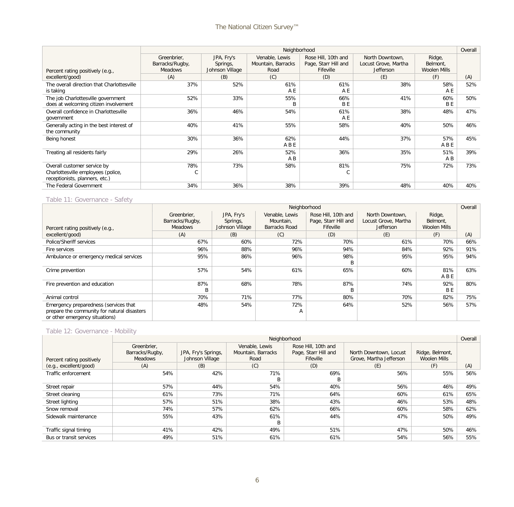|                                                                                                     |                                                  |                                           | Neighborhood                                 |                                                          |                                                             |                                    | Overall |
|-----------------------------------------------------------------------------------------------------|--------------------------------------------------|-------------------------------------------|----------------------------------------------|----------------------------------------------------------|-------------------------------------------------------------|------------------------------------|---------|
| Percent rating positively (e.g.,                                                                    | Greenbrier,<br>Barracks/Rugby,<br><b>Meadows</b> | JPA, Fry's<br>Springs,<br>Johnson Village | Venable, Lewis<br>Mountain, Barracks<br>Road | Rose Hill, 10th and<br>Page, Starr Hill and<br>Fifeville | North Downtown.<br>Locust Grove, Martha<br><b>Jefferson</b> | Ridge,<br>Belmont,<br>Woolen Mills |         |
| excellent/good)                                                                                     | (A)                                              | (B)                                       | (C)                                          | (D)                                                      | (E)                                                         | (F)                                | (A)     |
| The overall direction that Charlottesville<br>is taking                                             | 37%                                              | 52%                                       | 61%<br>A E                                   | 61%<br>A E                                               | 38%                                                         | 58%<br>A E                         | 52%     |
| The job Charlottesville government<br>does at welcoming citizen involvement                         | 52%                                              | 33%                                       | 55%<br>B                                     | 66%<br><b>BE</b>                                         | 41%                                                         | 60%<br>B <sub>E</sub>              | 50%     |
| Overall confidence in Charlottesville<br>government                                                 | 36%                                              | 46%                                       | 54%                                          | 61%<br>A E                                               | 38%                                                         | 48%                                | 47%     |
| Generally acting in the best interest of<br>the community                                           | 40%                                              | 41%                                       | 55%                                          | 58%                                                      | 40%                                                         | 50%                                | 46%     |
| Being honest                                                                                        | 30%                                              | 36%                                       | 62%<br>ABE                                   | 44%                                                      | 37%                                                         | 57%<br>ABE                         | 45%     |
| Treating all residents fairly                                                                       | 29%                                              | 26%                                       | 52%<br>A B                                   | 36%                                                      | 35%                                                         | 51%<br>A B                         | 39%     |
| Overall customer service by<br>Charlottesville employees (police,<br>receptionists, planners, etc.) | 78%<br>C                                         | 73%                                       | 58%                                          | 81%<br>С                                                 | 75%                                                         | 72%                                | 73%     |
| The Federal Government                                                                              | 34%                                              | 36%                                       | 38%                                          | 39%                                                      | 48%                                                         | 40%                                | 40%     |

#### Table 11: Governance - Safety

|                                                                               |                                |                        | Neighborhood                |                                             |                                         |                    | Overall |
|-------------------------------------------------------------------------------|--------------------------------|------------------------|-----------------------------|---------------------------------------------|-----------------------------------------|--------------------|---------|
|                                                                               | Greenbrier,<br>Barracks/Rugby, | JPA, Fry's<br>Springs, | Venable, Lewis<br>Mountain, | Rose Hill, 10th and<br>Page, Starr Hill and | North Downtown.<br>Locust Grove, Martha | Ridge,<br>Belmont, |         |
| Percent rating positively (e.g.,                                              | <b>Meadows</b>                 | Johnson Village        | Barracks Road               | Fifeville                                   | <b>Jefferson</b>                        | Woolen Mills       |         |
| excellent/good)                                                               | (A)                            | (B)                    | (C)                         | (D)                                         | (E)                                     | (F)                | (A)     |
| Police/Sheriff services                                                       | 67%                            | 60%                    | 72%                         | 70%                                         | 61%                                     | 70%                | 66%     |
| Fire services                                                                 | 96%                            | 88%                    | 96%                         | 94%                                         | 84%                                     | 92%                | 91%     |
| Ambulance or emergency medical services                                       | 95%                            | 86%                    | 96%                         | 98%                                         | 95%                                     | 95%                | 94%     |
|                                                                               |                                |                        |                             | B                                           |                                         |                    |         |
| Crime prevention                                                              | 57%                            | 54%                    | 61%                         | 65%                                         | 60%                                     | 81%                | 63%     |
|                                                                               |                                |                        |                             |                                             |                                         | ABE                |         |
| Fire prevention and education                                                 | 87%                            | 68%                    | 78%                         | 87%                                         | 74%                                     | 92%                | 80%     |
|                                                                               | B                              |                        |                             | <sub>R</sub>                                |                                         | B <sub>E</sub>     |         |
| Animal control                                                                | 70%                            | 71%                    | 77%                         | 80%                                         | 70%                                     | 82%                | 75%     |
| Emergency preparedness (services that                                         | 48%                            | 54%                    | 72%                         | 64%                                         | 52%                                     | 56%                | 57%     |
| prepare the community for natural disasters<br>or other emergency situations) |                                |                        | A                           |                                             |                                         |                    |         |

#### Table 12: Governance - Mobility

|                                |                                |                     |                                      | Neighborhood                                |                         |                                        | Overall |
|--------------------------------|--------------------------------|---------------------|--------------------------------------|---------------------------------------------|-------------------------|----------------------------------------|---------|
|                                | Greenbrier,<br>Barracks/Rugby, | JPA, Fry's Springs, | Venable, Lewis<br>Mountain, Barracks | Rose Hill, 10th and<br>Page, Starr Hill and | North Downtown, Locust  | Ridge, Belmont,<br><b>Woolen Mills</b> |         |
| Percent rating positively      | Meadows                        | Johnson Village     | Road                                 | Fifeville                                   | Grove, Martha Jefferson |                                        |         |
| (e.g., <i>excellent/qood</i> ) | (A)                            | (B)                 | (C)                                  | (D)                                         | (E)                     | (F)                                    | (A)     |
| Traffic enforcement            | 54%                            | 42%                 | 71%                                  | 69%                                         | 56%                     | 55%                                    | 56%     |
|                                |                                |                     | B                                    | B                                           |                         |                                        |         |
| Street repair                  | 57%                            | 44%                 | 54%                                  | 40%                                         | 56%                     | 46%                                    | 49%     |
| Street cleaning                | 61%                            | 73%                 | 71%                                  | 64%                                         | 60%                     | 61%                                    | 65%     |
| Street lighting                | 57%                            | 51%                 | 38%                                  | 43%                                         | 46%                     | 53%                                    | 48%     |
| Snow removal                   | 74%                            | 57%                 | 62%                                  | 66%                                         | 60%                     | 58%                                    | 62%     |
| Sidewalk maintenance           | 55%                            | 43%                 | 61%                                  | 44%                                         | 47%                     | 50%                                    | 49%     |
|                                |                                |                     | B                                    |                                             |                         |                                        |         |
| Traffic signal timing          | 41%                            | 42%                 | 49%                                  | 51%                                         | 47%                     | 50%                                    | 46%     |
| Bus or transit services        | 49%                            | 51%                 | 61%                                  | 61%                                         | 54%                     | 56%                                    | 55%     |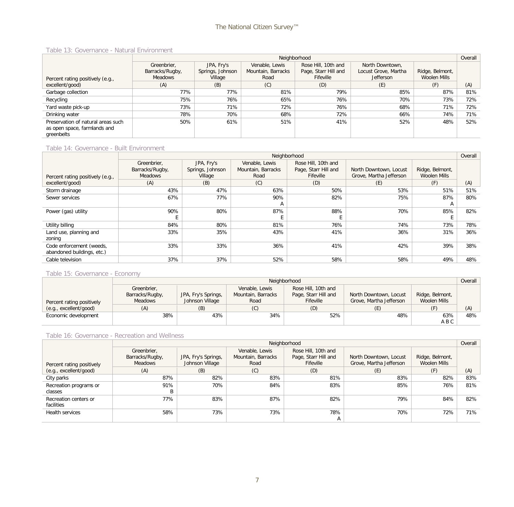#### Table 13: Governance - Natural Environment

|                                                                                  |                 |                  |                    | Neighborhood         |                      |                     | Overall |
|----------------------------------------------------------------------------------|-----------------|------------------|--------------------|----------------------|----------------------|---------------------|---------|
|                                                                                  | Greenbrier.     | JPA, Fry's       | Venable, Lewis     | Rose Hill, 10th and  | North Downtown,      |                     |         |
|                                                                                  | Barracks/Rugby, | Springs, Johnson | Mountain, Barracks | Page, Starr Hill and | Locust Grove, Martha | Ridge, Belmont,     |         |
| Percent rating positively (e.g.,                                                 | <b>Meadows</b>  | Village          | Road               | Fifeville            | Jefferson            | <b>Woolen Mills</b> |         |
| excellent/good)                                                                  | (A)             | (B)              | (C)                | (D)                  | (E)                  | (F)                 | (A)     |
| Garbage collection                                                               | 77%             | 77%              | 81%                | 79%                  | 85%                  | 87%                 | 81%     |
| Recycling                                                                        | 75%             | 76%              | 65%                | 76%                  | 70%                  | 73%                 | 72%     |
| Yard waste pick-up                                                               | 73%             | 71%              | 72%                | 76%                  | 68%                  | 71%                 | 72%     |
| Drinking water                                                                   | 78%             | 70%              | 68%                | 72%                  | 66%                  | 74%                 | 71%     |
| Preservation of natural areas such<br>as open space, farmlands and<br>greenbelts | 50%             | 61%              | 51%                | 41%                  | 52%                  | 48%                 | 52%     |

#### Table 14: Governance - Built Environment

|                                                        |                                   |                  |                    | Neighborhood                      |                         |                                        | Overall |
|--------------------------------------------------------|-----------------------------------|------------------|--------------------|-----------------------------------|-------------------------|----------------------------------------|---------|
|                                                        | Greenbrier,                       | JPA, Fry's       | Venable, Lewis     | Rose Hill, 10th and               |                         |                                        |         |
|                                                        | Barracks/Rugby,<br><b>Meadows</b> | Springs, Johnson | Mountain, Barracks | Page, Starr Hill and<br>Fifeville | North Downtown, Locust  | Ridge, Belmont,<br><b>Woolen Mills</b> |         |
| Percent rating positively (e.g.,                       |                                   | Village          | Road               |                                   | Grove, Martha Jefferson |                                        |         |
| excellent/good)                                        | (A)                               | (B)              | (C)                | (D)                               | (E)                     | (F)                                    | (A)     |
| Storm drainage                                         | 43%                               | 47%              | 63%                | 50%                               | 53%                     | 51%                                    | 51%     |
| Sewer services                                         | 67%                               | 77%              | 90%                | 82%                               | 75%                     | 87%                                    | 80%     |
|                                                        |                                   |                  | $\mathsf{A}$       |                                   |                         |                                        |         |
| Power (gas) utility                                    | 90%                               | 80%              | 87%                | 88%                               | 70%                     | 85%                                    | 82%     |
|                                                        |                                   |                  |                    |                                   |                         |                                        |         |
| Utility billing                                        | 84%                               | 80%              | 81%                | 76%                               | 74%                     | 73%                                    | 78%     |
| Land use, planning and<br>zoning                       | 33%                               | 35%              | 43%                | 41%                               | 36%                     | 31%                                    | 36%     |
| Code enforcement (weeds,<br>abandoned buildings, etc.) | 33%                               | 33%              | 36%                | 41%                               | 42%                     | 39%                                    | 38%     |
| Cable television                                       | 37%                               | 37%              | 52%                | 58%                               | 58%                     | 49%                                    | 48%     |

#### Table 15: Governance - Economy

|                           | Neighborhood                   |                     |                                      |                                             |                         |                 |     |  |  |
|---------------------------|--------------------------------|---------------------|--------------------------------------|---------------------------------------------|-------------------------|-----------------|-----|--|--|
|                           | Greenbrier,<br>Barracks/Rugby, | JPA, Fry's Springs, | Venable, Lewis<br>Mountain, Barracks | Rose Hill, 10th and<br>Page, Starr Hill and | North Downtown, Locust  | Ridge, Belmont, |     |  |  |
| Percent rating positively | Meadows                        | Johnson Village     | Road                                 | Fifeville                                   | Grove, Martha Jefferson | Woolen Mills    |     |  |  |
| (e.g., excellent/good)    |                                | (B)                 | (C)                                  | (D)                                         |                         |                 | (A) |  |  |
| Economic development      | 38%                            | 43%                 | 34%                                  | 52%                                         | 48%                     | 63%             | 48% |  |  |
|                           |                                |                     |                                      |                                             |                         | A B C           |     |  |  |

#### Table 16: Governance - Recreation and Wellness

|                                     |                                           |                                        |                                              | Neighborhood                                             |                                                   |                                 | Overall |
|-------------------------------------|-------------------------------------------|----------------------------------------|----------------------------------------------|----------------------------------------------------------|---------------------------------------------------|---------------------------------|---------|
| Percent rating positively           | Greenbrier.<br>Barracks/Rugby,<br>Meadows | JPA, Fry's Springs,<br>Johnson Village | Venable, Lewis<br>Mountain, Barracks<br>Road | Rose Hill, 10th and<br>Page, Starr Hill and<br>Fifeville | North Downtown, Locust<br>Grove, Martha Jefferson | Ridge, Belmont,<br>Woolen Mills |         |
| (e.g., excellent/good)              | (A)                                       | (B)                                    | (C)                                          | (D)                                                      | (E)                                               | (F)                             | (A)     |
| City parks                          | 87%                                       | 82%                                    | 83%                                          | 81%                                                      | 83%                                               | 82%                             | 83%     |
| Recreation programs or<br>classes   | 91%                                       | 70%                                    | 84%                                          | 83%                                                      | 85%                                               | 76%                             | 81%     |
| Recreation centers or<br>facilities | 77%                                       | 83%                                    | 87%                                          | 82%                                                      | 79%                                               | 84%                             | 82%     |
| Health services                     | 58%                                       | 73%                                    | 73%                                          | 78%<br>A                                                 | 70%                                               | 72%                             | 71%     |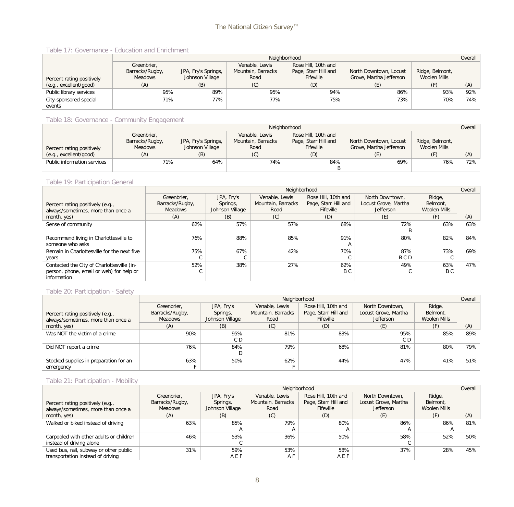#### Table 17: Governance - Education and Enrichment

|                           | Neighborhood    |                     |                    |                      |                         |                 |     |  |
|---------------------------|-----------------|---------------------|--------------------|----------------------|-------------------------|-----------------|-----|--|
|                           | Greenbrier,     |                     | Venable, Lewis     | Rose Hill, 10th and  |                         |                 |     |  |
|                           | Barracks/Rugby, | JPA, Fry's Springs, | Mountain, Barracks | Page, Starr Hill and | North Downtown, Locust  | Ridge, Belmont, |     |  |
| Percent rating positively | Meadows         | Johnson Village     | Road               | Fifeville            | Grove, Martha Jefferson | Woolen Mills    |     |  |
| (e.g., excellent/good)    | (A)             | (B)                 | (C)                | (D)                  |                         | (F)             | (A) |  |
| Public library services   | 95%             | 89%                 | 95%                | 94%                  | 86%                     | 93%             | 92% |  |
| City-sponsored special    | 71%             | 77%                 | 77%                | 75%                  | 73%                     | 70%             | 74% |  |
| events                    |                 |                     |                    |                      |                         |                 |     |  |

#### Table 18: Governance - Community Engagement

|                             |                 |                     |                    | Neighborhood         |                         |                 | Overall |
|-----------------------------|-----------------|---------------------|--------------------|----------------------|-------------------------|-----------------|---------|
|                             | Greenbrier,     |                     | Venable, Lewis     | Rose Hill, 10th and  |                         |                 |         |
|                             | Barracks/Rugby, | JPA, Fry's Springs, | Mountain, Barracks | Page, Starr Hill and | North Downtown, Locust  | Ridge, Belmont, |         |
| Percent rating positively   | Meadows         | Johnson Village     | Road               | Fifeville            | Grove, Martha Jefferson | Woolen Mills    |         |
| (e.g., excellent/good)      |                 | (B)                 | (C)                | (D)                  |                         |                 | (A)     |
| Public information services | $71\%$          | 64%                 | 74%                | 84%                  | 69%                     | 76%             | 72%     |
|                             |                 |                     |                    | B                    |                         |                 |         |

#### Table 19: Participation General

|                                                                                                       |                                           |                                           | Neighborhood                                 |                                                          |                                                      |                                    | Overall |
|-------------------------------------------------------------------------------------------------------|-------------------------------------------|-------------------------------------------|----------------------------------------------|----------------------------------------------------------|------------------------------------------------------|------------------------------------|---------|
| Percent rating positively (e.g.,<br>always/sometimes, more than once a                                | Greenbrier.<br>Barracks/Rugby,<br>Meadows | JPA, Fry's<br>Springs,<br>Johnson Village | Venable, Lewis<br>Mountain, Barracks<br>Road | Rose Hill, 10th and<br>Page, Starr Hill and<br>Fifeville | North Downtown,<br>Locust Grove, Martha<br>Jefferson | Ridge,<br>Belmont,<br>Woolen Mills |         |
| month, yes)                                                                                           | (A)                                       | (B)                                       | (C)                                          | (D)                                                      | (E)                                                  | (F)                                | (A)     |
| Sense of community                                                                                    | 62%                                       | 57%                                       | 57%                                          | 68%                                                      | 72%<br>B                                             | 63%                                | 63%     |
| Recommend living in Charlottesville to<br>someone who asks                                            | 76%                                       | 88%                                       | 85%                                          | 91%<br>$\overline{A}$                                    | 80%                                                  | 82%                                | 84%     |
| Remain in Charlottesville for the next five<br>years                                                  | 75%                                       | 67%<br>◡                                  | 42%                                          | 70%                                                      | 87%<br><b>BCD</b>                                    | 73%                                | 69%     |
| Contacted the City of Charlottesville (in-<br>person, phone, email or web) for help or<br>information | 52%                                       | 38%                                       | 27%                                          | 62%<br>B C                                               | 49%                                                  | 63%<br>B C                         | 47%     |

#### Table 20: Participation - Safety

|                                                                        |                                                  |                                           | Neighborhood                                 |                                                                 |                                                             |                                    | Overall |
|------------------------------------------------------------------------|--------------------------------------------------|-------------------------------------------|----------------------------------------------|-----------------------------------------------------------------|-------------------------------------------------------------|------------------------------------|---------|
| Percent rating positively (e.g.,<br>always/sometimes, more than once a | Greenbrier,<br>Barracks/Rugby,<br><b>Meadows</b> | JPA, Fry's<br>Springs,<br>Johnson Village | Venable, Lewis<br>Mountain, Barracks<br>Road | Rose Hill, 10th and<br>Page, Starr Hill and<br><b>Fifeville</b> | North Downtown,<br>Locust Grove, Martha<br><b>Jefferson</b> | Ridge,<br>Belmont,<br>Woolen Mills |         |
| month, yes)                                                            | (A)                                              | (B)                                       | (C)                                          | (D)                                                             | (E)                                                         | (F)                                | (A)     |
| Was NOT the victim of a crime                                          | 90%                                              | 95%<br>C D                                | 81%                                          | 83%                                                             | 95%<br>C D                                                  | 85%                                | 89%     |
| Did NOT report a crime                                                 | 76%                                              | 84%                                       | 79%                                          | 68%                                                             | 81%                                                         | 80%                                | 79%     |
| Stocked supplies in preparation for an<br>emergency                    | 63%                                              | 50%                                       | 62%                                          | 44%                                                             | 47%                                                         | 41%                                | 51%     |

#### Table 21: Participation - Mobility

|                                                                        |                                                  |                                           | Neighborhood                                 |                                                                 |                                                             |                                    | Overall |
|------------------------------------------------------------------------|--------------------------------------------------|-------------------------------------------|----------------------------------------------|-----------------------------------------------------------------|-------------------------------------------------------------|------------------------------------|---------|
| Percent rating positively (e.g.,<br>always/sometimes, more than once a | Greenbrier,<br>Barracks/Rugby,<br><b>Meadows</b> | JPA, Fry's<br>Springs,<br>Johnson Village | Venable, Lewis<br>Mountain, Barracks<br>Road | Rose Hill, 10th and<br>Page, Starr Hill and<br><b>Fifeville</b> | North Downtown,<br>Locust Grove, Martha<br><b>Jefferson</b> | Ridge,<br>Belmont,<br>Woolen Mills |         |
| month, yes)                                                            | (A)                                              | (B)                                       | (C)                                          | (D)                                                             | (E)                                                         | (F)                                | (A)     |
| Walked or biked instead of driving                                     | 63%                                              | 85%                                       | 79%                                          | 80%                                                             | 86%                                                         | 86%                                | 81%     |
|                                                                        |                                                  |                                           |                                              | $\mathsf{A}$                                                    |                                                             |                                    |         |
| Carpooled with other adults or children<br>instead of driving alone    | 46%                                              | 53%                                       | 36%                                          | 50%                                                             | 58%                                                         | 52%                                | 50%     |
| Used bus, rail, subway or other public                                 | 31%                                              | 59%                                       | 53%                                          | 58%                                                             | 37%                                                         | 28%                                | 45%     |
| transportation instead of driving                                      |                                                  | AEF                                       | A F                                          | AEF                                                             |                                                             |                                    |         |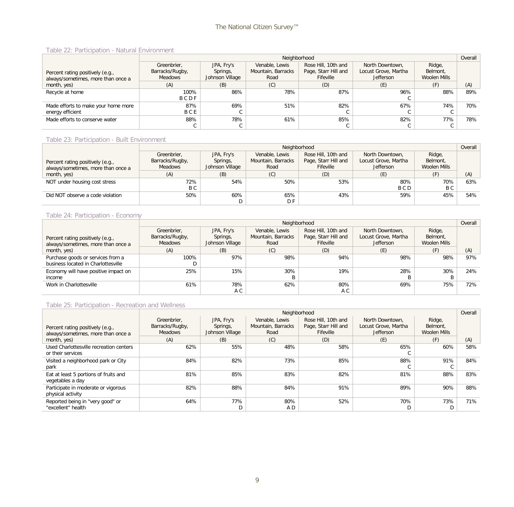#### Table 22: Participation - Natural Environment

|                                     |                 |                 | Neighborhood       |                      |                      |              | Overall |
|-------------------------------------|-----------------|-----------------|--------------------|----------------------|----------------------|--------------|---------|
|                                     | Greenbrier,     | JPA, Fry's      | Venable, Lewis     | Rose Hill, 10th and  | North Downtown,      | Ridge,       |         |
| Percent rating positively (e.g.,    | Barracks/Rugby, | Springs,        | Mountain, Barracks | Page, Starr Hill and | Locust Grove, Martha | Belmont,     |         |
| always/sometimes, more than once a  | Meadows         | Johnson Village | Road               | Fifeville            | <b>Jefferson</b>     | Woolen Mills |         |
| month, yes)                         | (A)             | (B)             | (C)                | (D)                  | (E)                  | (F)          | (A)     |
| Recycle at home                     | 100%            | 86%             | 78%                | 87%                  | 96%                  | 88%          | 89%     |
|                                     | BCDF            |                 |                    |                      | v                    |              |         |
| Made efforts to make your home more | 87%             | 69%             | 51%                | 82%                  | 67%                  | 74%          | 70%     |
| energy efficient                    | <b>BCE</b>      |                 |                    |                      | v                    |              |         |
| Made efforts to conserve water      | 88%             | 78%             | 61%                | 85%                  | 82%                  | 77%          | 78%     |
|                                     | $\sim$          |                 |                    | $\sim$               | ◡                    |              |         |

#### Table 23: Participation - Built Environment

|                                    |                 |                 | Neighborhood       |                      |                      |              | Overall |
|------------------------------------|-----------------|-----------------|--------------------|----------------------|----------------------|--------------|---------|
|                                    | Greenbrier,     | JPA, Fry's      | Venable, Lewis     | Rose Hill, 10th and  | North Downtown,      | Ridge,       |         |
| Percent rating positively (e.g.,   | Barracks/Rugby, | Springs,        | Mountain, Barracks | Page, Starr Hill and | Locust Grove, Martha | Belmont,     |         |
| always/sometimes, more than once a | Meadows         | Johnson Village | Road               | Fifeville            | <b>Jefferson</b>     | Woolen Mills |         |
| month, yes)                        | (A)             | (B)             | (C)                | (D)                  | (E)                  | (F)          | (A)     |
| NOT under housing cost stress      | 72%             | 54%             | 50%                | 53%                  | 80%                  | 70%          | 63%     |
|                                    | B C             |                 |                    |                      | B C D                | B C          |         |
| Did NOT observe a code violation   | 50%             | 60%             | 65%                | 43%                  | 59%                  | 45%          | 54%     |
|                                    |                 |                 | D F                |                      |                      |              |         |

#### Table 24: Participation - Economy

|                                                                          |                                                  |                                           | Neighborhood                                 |                                                          |                                                             |                                    | Overall |
|--------------------------------------------------------------------------|--------------------------------------------------|-------------------------------------------|----------------------------------------------|----------------------------------------------------------|-------------------------------------------------------------|------------------------------------|---------|
| Percent rating positively (e.g.,<br>always/sometimes, more than once a   | Greenbrier,<br>Barracks/Rugby,<br><b>Meadows</b> | JPA, Fry's<br>Springs,<br>Johnson Village | Venable, Lewis<br>Mountain, Barracks<br>Road | Rose Hill, 10th and<br>Page, Starr Hill and<br>Fifeville | North Downtown,<br>Locust Grove, Martha<br><b>Jefferson</b> | Ridge,<br>Belmont,<br>Woolen Mills |         |
| month, yes)                                                              | (A)                                              | (B)                                       | (C)                                          | (D)                                                      | (E)                                                         | (F)                                | (A)     |
| Purchase goods or services from a<br>business located in Charlottesville | 100%                                             | 97%                                       | 98%                                          | 94%                                                      | 98%                                                         | 98%                                | 97%     |
| Economy will have positive impact on<br>income                           | 25%                                              | 15%                                       | 30%                                          | 19%                                                      | 28%                                                         | 30%                                | 24%     |
| Work in Charlottesville                                                  | 61%                                              | 78%<br>A C                                | 62%                                          | 80%<br>A C                                               | 69%                                                         | 75%                                | 72%     |

#### Table 25: Participation - Recreation and Wellness

|                                                                        |                                                  |                                           | Neighborhood                                 |                                                          |                                                      |                                    | Overall |
|------------------------------------------------------------------------|--------------------------------------------------|-------------------------------------------|----------------------------------------------|----------------------------------------------------------|------------------------------------------------------|------------------------------------|---------|
| Percent rating positively (e.g.,<br>always/sometimes, more than once a | Greenbrier.<br>Barracks/Rugby,<br><b>Meadows</b> | JPA, Fry's<br>Springs,<br>Johnson Village | Venable, Lewis<br>Mountain, Barracks<br>Road | Rose Hill, 10th and<br>Page, Starr Hill and<br>Fifeville | North Downtown.<br>Locust Grove, Martha<br>Jefferson | Ridge,<br>Belmont,<br>Woolen Mills |         |
| month, yes)                                                            | (A)                                              | (B)                                       | (C)                                          | (D)                                                      | (E)                                                  | (F)                                | (A)     |
| Used Charlottesville recreation centers<br>or their services           | 62%                                              | 55%                                       | 48%                                          | 58%                                                      | 65%                                                  | 60%                                | 58%     |
| Visited a neighborhood park or City<br>park                            | 84%                                              | 82%                                       | 73%                                          | 85%                                                      | 88%                                                  | 91%                                | 84%     |
| Eat at least 5 portions of fruits and<br>vegetables a day              | 81%                                              | 85%                                       | 83%                                          | 82%                                                      | 81%                                                  | 88%                                | 83%     |
| Participate in moderate or vigorous<br>physical activity               | 82%                                              | 88%                                       | 84%                                          | 91%                                                      | 89%                                                  | 90%                                | 88%     |
| Reported being in "very good" or<br>"excellent" health                 | 64%                                              | 77%<br>D                                  | 80%<br>A D                                   | 52%                                                      | 70%                                                  | 73%                                | 71%     |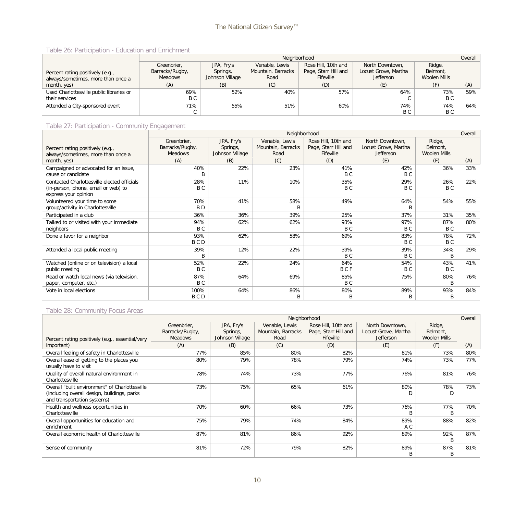#### Table 26: Participation - Education and Enrichment

|                                          | Neighborhood    |                 |                    |                      |                      |              |     |
|------------------------------------------|-----------------|-----------------|--------------------|----------------------|----------------------|--------------|-----|
|                                          | Greenbrier,     | JPA, Fry's      | Venable, Lewis     | Rose Hill, 10th and  | North Downtown.      | Ridge,       |     |
| Percent rating positively (e.g.,         | Barracks/Rugby, | Springs,        | Mountain, Barracks | Page, Starr Hill and | Locust Grove, Martha | Belmont,     |     |
| always/sometimes, more than once a       | <b>Meadows</b>  | Johnson Village | Road               | Fifeville            | <b>Jefferson</b>     | Woolen Mills |     |
| month, yes)                              | (A)             | (B)             | (C)                | (D)                  | (E)                  | (F)          | (A) |
| Used Charlottesville public libraries or | 69%             | 52%             | 40%                | 57%                  | 64%                  | 73%          | 59% |
| their services                           | B C             |                 |                    |                      | ◡                    | B C          |     |
| Attended a City-sponsored event          | 71%             | 55%             | 51%                | 60%                  | 74%                  | 74%          | 64% |
|                                          |                 |                 |                    |                      | B C                  | B C          |     |

#### Table 27: Participation - Community Engagement

|                                                                                                            |                                                  |                                           | Neighborhood                                 |                                                          |                                                             |                                           | Overall |
|------------------------------------------------------------------------------------------------------------|--------------------------------------------------|-------------------------------------------|----------------------------------------------|----------------------------------------------------------|-------------------------------------------------------------|-------------------------------------------|---------|
| Percent rating positively (e.g.,<br>always/sometimes, more than once a                                     | Greenbrier.<br>Barracks/Rugby,<br><b>Meadows</b> | JPA, Fry's<br>Springs,<br>Johnson Village | Venable, Lewis<br>Mountain, Barracks<br>Road | Rose Hill, 10th and<br>Page, Starr Hill and<br>Fifeville | North Downtown.<br>Locust Grove, Martha<br><b>Jefferson</b> | Ridge,<br>Belmont,<br><b>Woolen Mills</b> |         |
| month, yes)                                                                                                | (A)                                              | (B)                                       | (C)                                          | (D)                                                      | (E)                                                         | (F)                                       | (A)     |
| Campaigned or advocated for an issue,<br>cause or candidate                                                | 40%                                              | 22%                                       | 23%                                          | 41%<br>B C                                               | 42%<br>B C                                                  | 36%                                       | 33%     |
| Contacted Charlottesville elected officials<br>(in-person, phone, email or web) to<br>express your opinion | 28%<br>B C                                       | 11%                                       | 10%                                          | 35%<br>B C                                               | 29%<br>B C                                                  | 26%<br>B C                                | 22%     |
| Volunteered your time to some<br>group/activity in Charlottesville                                         | 70%<br>B <sub>D</sub>                            | 41%                                       | 58%<br>B                                     | 49%                                                      | 64%<br>B                                                    | 54%                                       | 55%     |
| Participated in a club                                                                                     | 36%                                              | 36%                                       | 39%                                          | 25%                                                      | 37%                                                         | 31%                                       | 35%     |
| Talked to or visited with your immediate<br>neighbors                                                      | 94%<br>B C                                       | 62%                                       | 62%                                          | 93%<br>B C                                               | 97%<br>B C                                                  | 87%<br>B C                                | 80%     |
| Done a favor for a neighbor                                                                                | 93%<br>B C D                                     | 62%                                       | 58%                                          | 69%                                                      | 83%<br>B C                                                  | 78%<br>B <sub>C</sub>                     | 72%     |
| Attended a local public meeting                                                                            | 39%<br>B                                         | 12%                                       | 22%                                          | 39%<br>B C                                               | 39%<br>B C                                                  | 34%<br>B                                  | 29%     |
| Watched (online or on television) a local<br>public meeting                                                | 52%<br>B C                                       | 22%                                       | 24%                                          | 64%<br><b>BCF</b>                                        | 54%<br>B C                                                  | 43%<br>B C                                | 41%     |
| Read or watch local news (via television,<br>paper, computer, etc.)                                        | 87%<br>B C                                       | 64%                                       | 69%                                          | 85%<br>B C                                               | 75%                                                         | 80%<br>B                                  | 76%     |
| Vote in local elections                                                                                    | 100%<br>B C D                                    | 64%                                       | 86%<br>B                                     | 80%<br>B                                                 | 89%<br>B                                                    | 93%<br>B                                  | 84%     |

#### Table 28: Community Focus Areas

|                                                                                                                              |                                                  |                                           | Neighborhood                                 |                                                          |                                                             |                                    | Overall |
|------------------------------------------------------------------------------------------------------------------------------|--------------------------------------------------|-------------------------------------------|----------------------------------------------|----------------------------------------------------------|-------------------------------------------------------------|------------------------------------|---------|
| Percent rating positively (e.g., essential/very                                                                              | Greenbrier,<br>Barracks/Rugby,<br><b>Meadows</b> | JPA, Fry's<br>Springs,<br>Johnson Village | Venable, Lewis<br>Mountain, Barracks<br>Road | Rose Hill, 10th and<br>Page, Starr Hill and<br>Fifeville | North Downtown,<br>Locust Grove, Martha<br><b>Jefferson</b> | Ridge,<br>Belmont,<br>Woolen Mills |         |
| important)                                                                                                                   | (A)                                              | (B)                                       | (C)                                          | (D)                                                      | (E)                                                         | (F)                                | (A)     |
| Overall feeling of safety in Charlottesville                                                                                 | 77%                                              | 85%                                       | 80%                                          | 82%                                                      | 81%                                                         | 73%                                | 80%     |
| Overall ease of getting to the places you<br>usually have to visit                                                           | 80%                                              | 79%                                       | 78%                                          | 79%                                                      | 74%                                                         | 73%                                | 77%     |
| Quality of overall natural environment in<br>Charlottesville                                                                 | 78%                                              | 74%                                       | 73%                                          | 77%                                                      | 76%                                                         | 81%                                | 76%     |
| Overall "built environment" of Charlottesville<br>(including overall design, buildings, parks<br>and transportation systems) | 73%                                              | 75%                                       | 65%                                          | 61%                                                      | 80%                                                         | 78%                                | 73%     |
| Health and wellness opportunities in<br>Charlottesville                                                                      | 70%                                              | 60%                                       | 66%                                          | 73%                                                      | 76%                                                         | 77%<br>B                           | 70%     |
| Overall opportunities for education and<br>enrichment                                                                        | 75%                                              | 79%                                       | 74%                                          | 84%                                                      | 89%<br>A C                                                  | 88%                                | 82%     |
| Overall economic health of Charlottesville                                                                                   | 87%                                              | 81%                                       | 86%                                          | 92%                                                      | 89%                                                         | 92%<br>B                           | 87%     |
| Sense of community                                                                                                           | 81%                                              | 72%                                       | 79%                                          | 82%                                                      | 89%                                                         | 87%<br>B                           | 81%     |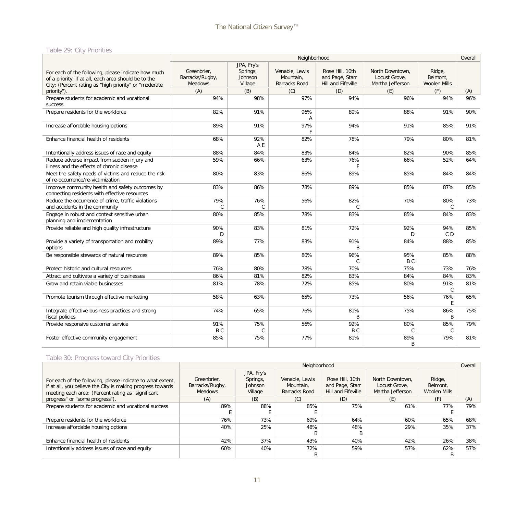#### Table 29: City Priorities

|                                                                                                                                                                      |                                                  |                                              | Neighborhood                                        |                                                          |                                                      |                                           | Overall |
|----------------------------------------------------------------------------------------------------------------------------------------------------------------------|--------------------------------------------------|----------------------------------------------|-----------------------------------------------------|----------------------------------------------------------|------------------------------------------------------|-------------------------------------------|---------|
| For each of the following, please indicate how much<br>of a priority, if at all, each area should be to the<br>City: (Percent rating as "high priority" or "moderate | Greenbrier.<br>Barracks/Rugby,<br><b>Meadows</b> | JPA, Fry's<br>Springs,<br>Johnson<br>Village | Venable, Lewis<br>Mountain,<br><b>Barracks Road</b> | Rose Hill, 10th<br>and Page, Starr<br>Hill and Fifeville | North Downtown.<br>Locust Grove,<br>Martha Jefferson | Ridge,<br>Belmont,<br><b>Woolen Mills</b> |         |
| priority").                                                                                                                                                          | (A)                                              | (B)                                          | (C)                                                 | (D)                                                      | (E)                                                  | (F)                                       | (A)     |
| Prepare students for academic and vocational<br><b>SUCCESS</b>                                                                                                       | 94%                                              | 98%                                          | 97%                                                 | 94%                                                      | 96%                                                  | 94%                                       | 96%     |
| Prepare residents for the workforce                                                                                                                                  | 82%                                              | 91%                                          | 96%<br>A                                            | 89%                                                      | 88%                                                  | 91%                                       | 90%     |
| Increase affordable housing options                                                                                                                                  | 89%                                              | 91%                                          | 97%<br>F                                            | 94%                                                      | 91%                                                  | 85%                                       | 91%     |
| Enhance financial health of residents                                                                                                                                | 68%                                              | 92%<br>A E                                   | 82%                                                 | 78%                                                      | 79%                                                  | 80%                                       | 81%     |
| Intentionally address issues of race and equity                                                                                                                      | 88%                                              | 84%                                          | 83%                                                 | 84%                                                      | 82%                                                  | 90%                                       | 85%     |
| Reduce adverse impact from sudden injury and<br>illness and the effects of chronic disease                                                                           | 59%                                              | 66%                                          | 63%                                                 | 76%<br>F                                                 | 66%                                                  | 52%                                       | 64%     |
| Meet the safety needs of victims and reduce the risk<br>of re-occurrence/re-victimization                                                                            | 80%                                              | 83%                                          | 86%                                                 | 89%                                                      | 85%                                                  | 84%                                       | 84%     |
| Improve community health and safety outcomes by<br>connecting residents with effective resources                                                                     | 83%                                              | 86%                                          | 78%                                                 | 89%                                                      | 85%                                                  | 87%                                       | 85%     |
| Reduce the occurrence of crime, traffic violations<br>and accidents in the community                                                                                 | 79%<br>$\mathcal{C}$                             | 76%<br>$\mathsf{C}$                          | 56%                                                 | 82%<br>C.                                                | 70%                                                  | 80%<br>$\mathsf{C}$                       | 73%     |
| Engage in robust and context sensitive urban<br>planning and implementation                                                                                          | 80%                                              | 85%                                          | 78%                                                 | 83%                                                      | 85%                                                  | 84%                                       | 83%     |
| Provide reliable and high quality infrastructure                                                                                                                     | 90%<br>D                                         | 83%                                          | 81%                                                 | 72%                                                      | 92%<br>D                                             | 94%<br>C D                                | 85%     |
| Provide a variety of transportation and mobility<br>options                                                                                                          | 89%                                              | 77%                                          | 83%                                                 | 91%<br>B                                                 | 84%                                                  | 88%                                       | 85%     |
| Be responsible stewards of natural resources                                                                                                                         | 89%                                              | 85%                                          | 80%                                                 | 96%<br>$\mathsf{C}$                                      | 95%<br>B C                                           | 85%                                       | 88%     |
| Protect historic and cultural resources                                                                                                                              | 76%                                              | 80%                                          | 78%                                                 | 70%                                                      | 75%                                                  | 73%                                       | 76%     |
| Attract and cultivate a variety of businesses                                                                                                                        | 86%                                              | 81%                                          | 82%                                                 | 83%                                                      | 84%                                                  | 84%                                       | 83%     |
| Grow and retain viable businesses                                                                                                                                    | 81%                                              | 78%                                          | 72%                                                 | 85%                                                      | 80%                                                  | 91%<br>$\mathsf{C}$                       | 81%     |
| Promote tourism through effective marketing                                                                                                                          | 58%                                              | 63%                                          | 65%                                                 | 73%                                                      | 56%                                                  | 76%<br>E                                  | 65%     |
| Integrate effective business practices and strong<br>fiscal policies                                                                                                 | 74%                                              | 65%                                          | 76%                                                 | 81%<br><sub>R</sub>                                      | 75%                                                  | 86%<br>B                                  | 75%     |
| Provide responsive customer service                                                                                                                                  | 91%<br>B <sub>C</sub>                            | 75%<br>C                                     | 56%                                                 | 92%<br>B C                                               | 80%<br>$\mathsf{C}$                                  | 85%<br>$\mathsf{C}$                       | 79%     |
| Foster effective community engagement                                                                                                                                | 85%                                              | 75%                                          | 77%                                                 | 81%                                                      | 89%<br><sub>R</sub>                                  | 79%                                       | 81%     |

### Table 30: Progress toward City Priorities

|                                                            |                 |            | Neighborhood   |                    |                  |              | Overall |
|------------------------------------------------------------|-----------------|------------|----------------|--------------------|------------------|--------------|---------|
|                                                            |                 | JPA, Fry's |                |                    |                  |              |         |
| For each of the following, please indicate to what extent, | Greenbrier.     | Springs,   | Venable, Lewis | Rose Hill, 10th    | North Downtown.  | Ridge,       |         |
| if at all, you believe the City is making progress towards | Barracks/Rugby, | Johnson    | Mountain.      | and Page, Starr    | Locust Grove.    | Belmont.     |         |
| meeting each area: (Percent rating as "significant         | <b>Meadows</b>  | Village    | Barracks Road  | Hill and Fifeville | Martha Jefferson | Woolen Mills |         |
| progress" or "some progress").                             | (A)             | (B)        | (C)            | (D)                | (E)              | (F)          | (A)     |
| Prepare students for academic and vocational success       | 89%             | 88%        | 85%            | 75%                | 61%              | 77%          | 79%     |
|                                                            |                 |            |                |                    |                  |              |         |
| Prepare residents for the workforce                        | 76%             | 73%        | 69%            | 64%                | 60%              | 65%          | 68%     |
| Increase affordable housing options                        | 40%             | 25%        | 48%            | 48%                | 29%              | 35%          | 37%     |
|                                                            |                 |            | B              | B                  |                  |              |         |
| Enhance financial health of residents                      | 42%             | 37%        | 43%            | 40%                | 42%              | 26%          | 38%     |
| Intentionally address issues of race and equity            | 60%             | 40%        | 72%            | 59%                | 57%              | 62%          | 57%     |
|                                                            |                 |            | B              |                    |                  | B            |         |